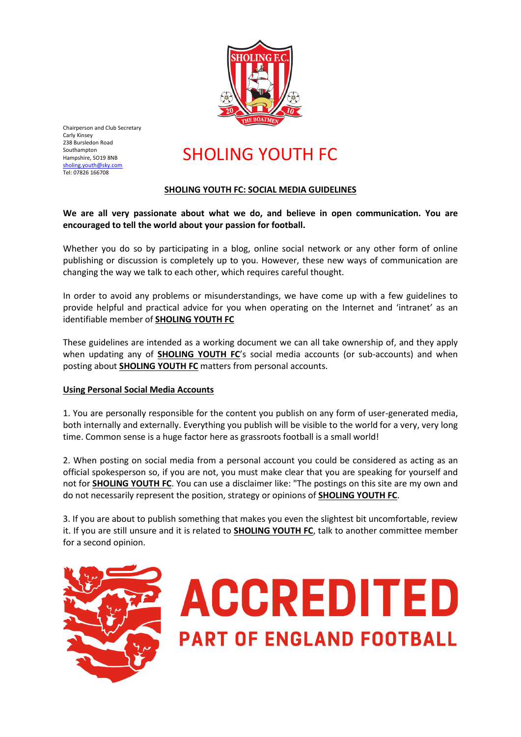

Chairperson and Club Secretary Carly Kinsey 238 Bursledon Road Southampton Hampshire, SO19 8NB [sholing.youth@sky.com](mailto:sholing.youth@sky.com) Tel: 07826 166708

## SHOLING YOUTH FC

### **SHOLING YOUTH FC: SOCIAL MEDIA GUIDELINES**

**We are all very passionate about what we do, and believe in open communication. You are encouraged to tell the world about your passion for football.**

Whether you do so by participating in a blog, online social network or any other form of online publishing or discussion is completely up to you. However, these new ways of communication are changing the way we talk to each other, which requires careful thought.

In order to avoid any problems or misunderstandings, we have come up with a few guidelines to provide helpful and practical advice for you when operating on the Internet and 'intranet' as an identifiable member of **SHOLING YOUTH FC**

These guidelines are intended as a working document we can all take ownership of, and they apply when updating any of **SHOLING YOUTH FC**'s social media accounts (or sub-accounts) and when posting about **SHOLING YOUTH FC** matters from personal accounts.

#### **Using Personal Social Media Accounts**

1. You are personally responsible for the content you publish on any form of user-generated media, both internally and externally. Everything you publish will be visible to the world for a very, very long time. Common sense is a huge factor here as grassroots football is a small world!

2. When posting on social media from a personal account you could be considered as acting as an official spokesperson so, if you are not, you must make clear that you are speaking for yourself and not for **SHOLING YOUTH FC**. You can use a disclaimer like: "The postings on this site are my own and do not necessarily represent the position, strategy or opinions of **SHOLING YOUTH FC**.

3. If you are about to publish something that makes you even the slightest bit uncomfortable, review it. If you are still unsure and it is related to **SHOLING YOUTH FC**, talk to another committee member for a second opinion.



# **ACCREDITED PART OF ENGLAND FOOTBALL**